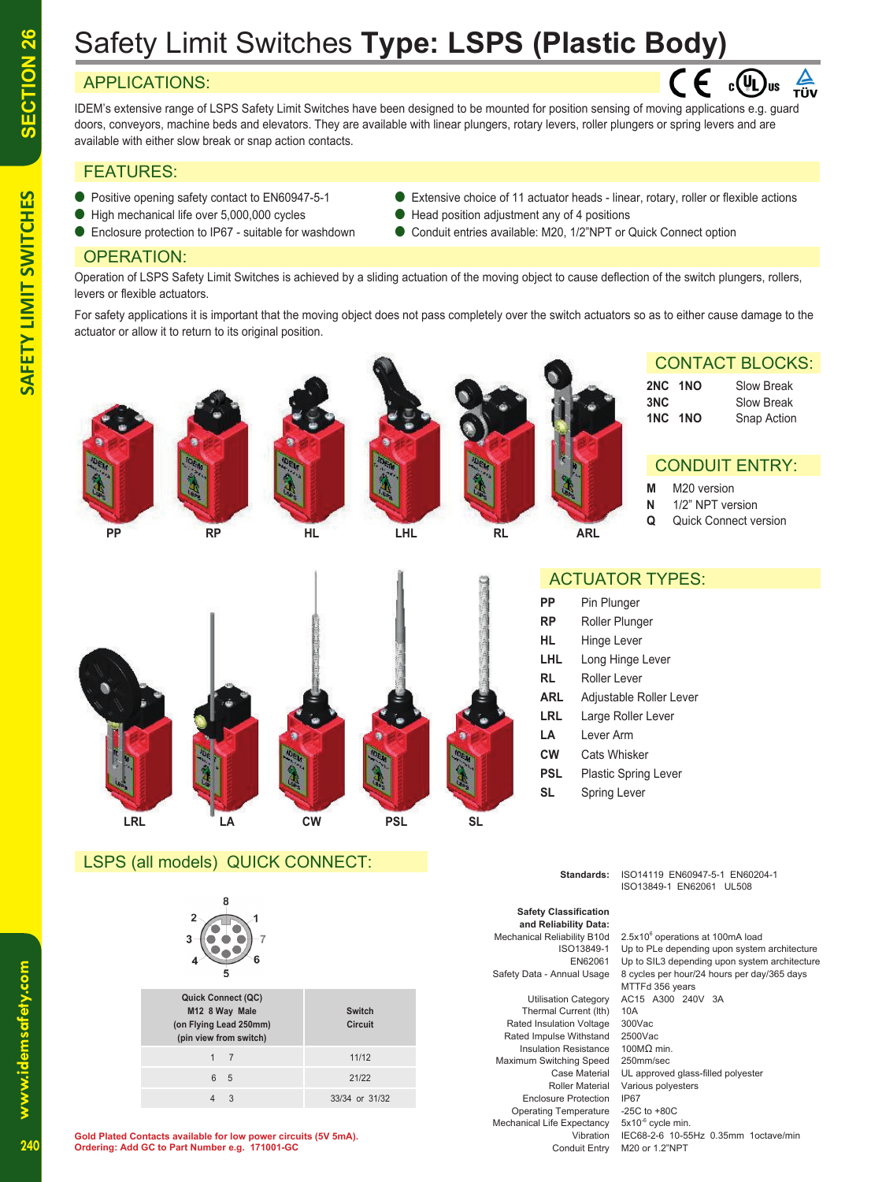# Safety Limit Switches **Type: LSPS (Plastic Body)**

### APPLICATIONS:

IDEM's extensive range of LSPS Safety Limit Switches have been designed to be mounted for position sensing of moving applications e.g. guard doors, conveyors, machine beds and elevators. They are available with linear plungers, rotary levers, roller plungers or spring levers and are available with either slow break or snap action contacts.

### FEATURES:

- 
- High mechanical life over 5,000,000 cycles Head position adjustment any of 4 positions
- 
- Positive opening safety contact to EN60947-5-1 Extensive choice of 11 actuator heads linear, rotary, roller or flexible actions
	-
- Enclosure protection to IP67 suitable for washdown Conduit entries available: M20, 1/2"NPT or Quick Connect option

### OPERATION:

Operation of LSPS Safety Limit Switches is achieved by a sliding actuation of the moving object to cause deflection of the switch plungers, rollers, levers or flexible actuators.

For safety applications it is important that the moving object does not pass completely over the switch actuators so as to either cause damage to the actuator or allow it to return to its original position.











| <b>CONTACT BLOCKS:</b> |  |
|------------------------|--|
|                        |  |

 $_{c}$ (VL)<sub>us</sub>

| <b>2NC 1NO</b> | Slow Break  |
|----------------|-------------|
| 3NC            | Slow Break  |
| <b>1NC 1NO</b> | Snap Action |

## CONDUIT ENTRY:

**M** M20 version

**N** 1/2" NPT version

ACTUATOR TYPES:

**ARL** Adjustable Roller Lever **LRL** Large Roller Lever **LA** Lever Arm **CW** Cats Whisker **PSL** Plastic Spring Lever **SL** Spring Lever

**PP** Pin Plunger **RP** Roller Plunger **HL** Hinge Lever **LHL** Long Hinge Lever **RL** Roller Lever

**Q** Quick Connect version



# LSPS (all models) QUICK CONNECT:



| <b>Quick Connect (QC)</b><br>M12 8 Way Male<br>(on Flying Lead 250mm)<br>(pin view from switch) | Switch<br>Circuit |
|-------------------------------------------------------------------------------------------------|-------------------|
| 1 7                                                                                             | 11/12             |
| 6<br>5                                                                                          | 21/22             |
| 3                                                                                               | 33/34 or 31/32    |

**Standards:** ISO14119 EN60947-5-1 EN60204-1 ISO13849-1 EN62061 UL508

M20 or 1.2"NPT

#### **Safety Classification and Reliability Data:**

Mechanical Reliability B10d

Thermal Current (lth) 10A<br>ted Insulation Voltage 300Vac Rated Insulation Voltage 300Vac<br>Rated Impulse Withstand 2500Vac Rated Impulse Withstand Insulation Resistance 100MΩ min. Maximum Switching Speed 250mm/sec Enclosure Protection IP67<br>
Derating Temperature -25C to +80C Operating Temperature -25C to +80C<br>hanical Life Expectancy 5x10<sup>-6</sup> cycle min. Mechanical Life Expectancy Vibration IEC68-2-6 10-55Hz 0.35mm 1octave/min

2.5x10<sup>6</sup> operations at 100mA load ISO13849-1 Up to PLe depending upon system architecture EN62061 Up to SIL3 depending upon system architecture<br>Safety Data - Annual Usage 8 cycles per hour/24 hours per day/365 days 8 cycles per hour/24 hours per day/365 days MTTFd 356 years<br>Utilisation Category AC15 A300 240 AC15 A300 240V 3A Case Material UL approved glass-filled polyester Roller Material Various polyesters

240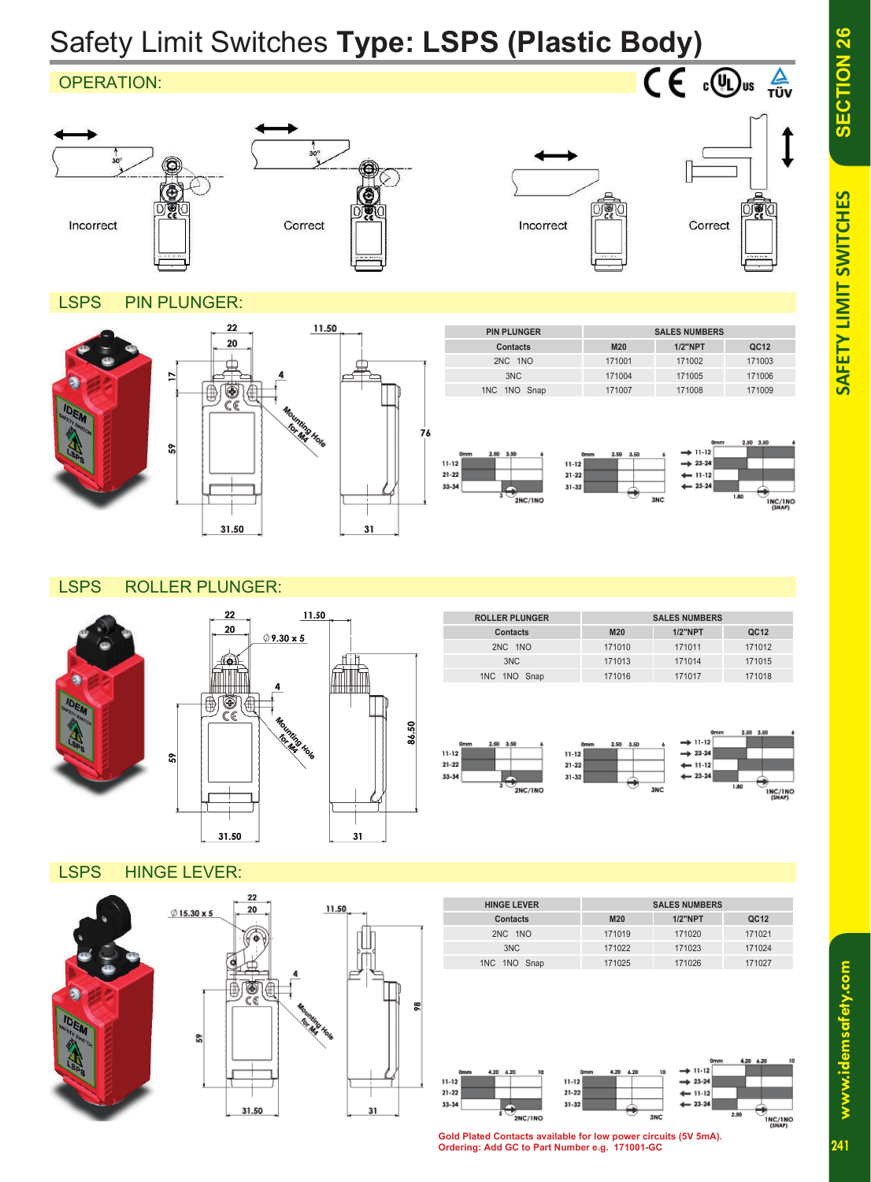

LSPS PIN PLUNGER:



Incorrect



Correct

| <b>PIN PLUNGER</b>                                                                   |
|--------------------------------------------------------------------------------------|
| <b>Contacts</b>                                                                      |
| 2NC 1NO                                                                              |
| 3NC                                                                                  |
| 1NC 1NO Snap                                                                         |
| 76<br>2.50 3.50<br>0 <sub>mm</sub><br>$11 - 12$<br>$21 - 22$<br>$33 - 34$<br>2NC/INO |
|                                                                                      |

| <b>PIN PLUNGER</b> | <b>SALES NUMBERS</b> |            |        |
|--------------------|----------------------|------------|--------|
| <b>Contacts</b>    | <b>M20</b>           | $1/2$ "NPT | QC12   |
| 2NC 1NO            | 171001               | 171002     | 171003 |
| 3NC                | 171004               | 171005     | 171006 |
| 1NC 1NO Snap       | 171007               | 171008     | 171009 |
|                    |                      |            |        |

Incorrect



Correct

LSPS ROLLER PLUNGER:





| <b>ROLLER PLUNGER</b> | <b>SALES NUMBERS</b> |                |        |
|-----------------------|----------------------|----------------|--------|
| <b>Contacts</b>       | <b>M20</b>           | <b>1/2"NPT</b> | QC12   |
| 2NC 1NO               | 171010               | 171011         | 171012 |
| 3NC                   | 171013               | 171014         | 171015 |
| 1NC 1NO Snap          | 171016               | 171017         | 171018 |



### LSPS HINGE LEVER:





| <b>HINGE LEVER</b> | <b>SALES NUMBERS</b> |                |        |
|--------------------|----------------------|----------------|--------|
| <b>Contacts</b>    | <b>M20</b>           | <b>1/2"NPT</b> | QC12   |
| 2NC 1NO            | 171019               | 171020         | 171021 |
| 3NC                | 171022               | 171023         | 171024 |
| 1NC 1NO Snap       | 171025               | 171026         | 171027 |



**Gold Plated Contacts available for low power circuits (5V 5mA). Ordering: Add GC to Part Number e.g. 171001-GC**

SECTION 26

www.idemsafety.com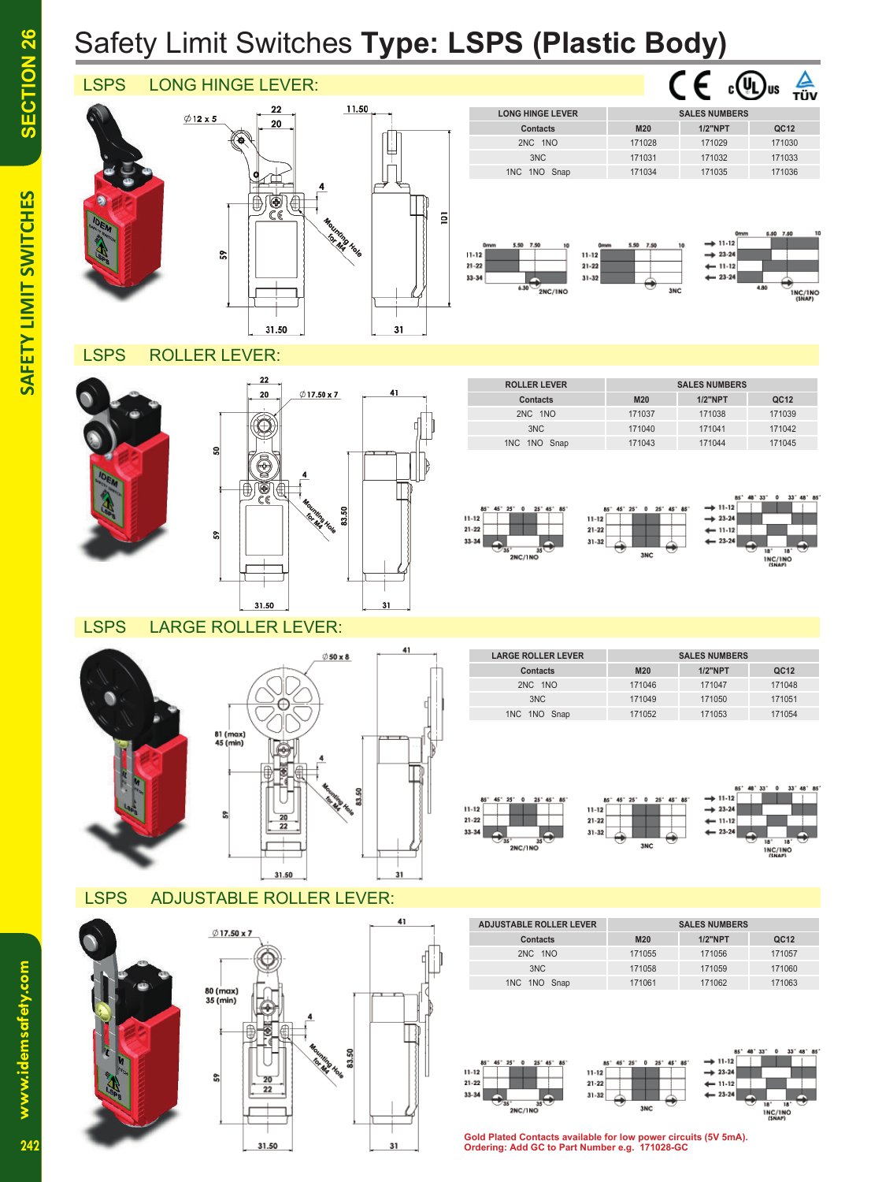# Safety Limit Switches **Type: LSPS (Plastic Body)**





LSPS LONG HINGE LEVER:





**SMC** 

LSPS ROLLER LEVER:





| <b>ROLLER LEVER</b> | <b>SALES NUMBERS</b> |            |        |
|---------------------|----------------------|------------|--------|
| Contacts            | <b>M20</b>           | $1/2$ "NPT | QC12   |
| 2NC 1NO             | 171037               | 171038     | 171039 |
| 3NC                 | 171040               | 171041     | 171042 |
| 1NC 1NO Snap        | 171043               | 171044     | 171045 |



2NC/INO





**INC/INO** 

LSPS LARGE ROLLER LEVER:





| <b>LARGE ROLLER LEVER</b> | <b>SALES NUMBERS</b> |                |        |
|---------------------------|----------------------|----------------|--------|
| <b>Contacts</b>           | <b>M20</b>           | <b>1/2"NPT</b> | QC12   |
| 2NC 1NO                   | 171046               | 171047         | 171048 |
| 3NC                       | 171049               | 171050         | 171051 |
| 1NC 1NO Snap              | 171052               | 171053         | 171054 |







LSPS ADJUSTABLE ROLLER LEVER:





| <b>ADJUSTABLE ROLLER LEVER</b> | <b>SALES NUMBERS</b> |                |        |
|--------------------------------|----------------------|----------------|--------|
| <b>Contacts</b>                | <b>M20</b>           | <b>1/2"NPT</b> | QC12   |
| 2NC 1NO                        | 171055               | 171056         | 171057 |
| 3NC                            | 171058               | 171059         | 171060 |
| 1NC 1NO Snap                   | 171061               | 171062         | 171063 |



**Gold Plated Contacts available for low power circuits (5V 5mA). Ordering: Add GC to Part Number e.g. 171028-GC**